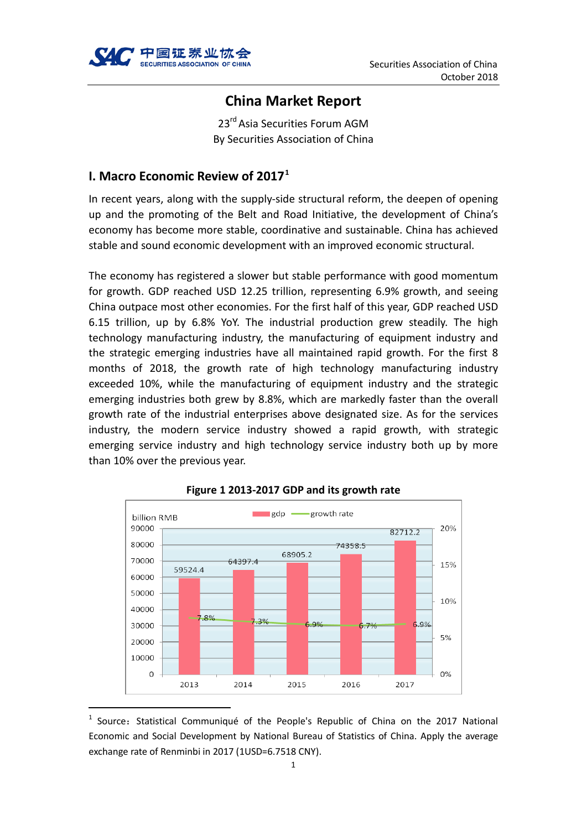

# **China Market Report**

23<sup>rd</sup> Asia Securities Forum AGM By Securities Association of China

## **I. Macro Economic Review of 2017[1](#page-0-0)**

In recent years, along with the supply-side structural reform, the deepen of opening up and the promoting of the Belt and Road Initiative, the development of China's economy has become more stable, coordinative and sustainable. China has achieved stable and sound economic development with an improved economic structural.

The economy has registered a slower but stable performance with good momentum for growth. GDP reached USD 12.25 trillion, representing 6.9% growth, and seeing China outpace most other economies. For the first half of this year, GDP reached USD 6.15 trillion, up by 6.8% YoY. The industrial production grew steadily. The high technology manufacturing industry, the manufacturing of equipment industry and the strategic emerging industries have all maintained rapid growth. For the first 8 months of 2018, the growth rate of high technology manufacturing industry exceeded 10%, while the manufacturing of equipment industry and the strategic emerging industries both grew by 8.8%, which are markedly faster than the overall growth rate of the industrial enterprises above designated size. As for the services industry, the modern service industry showed a rapid growth, with strategic emerging service industry and high technology service industry both up by more than 10% over the previous year.



**Figure 1 2013-2017 GDP and its growth rate**

<span id="page-0-0"></span>Source: Statistical Communiqué of the People's Republic of China on the 2017 National Economic and Social Development by National Bureau of Statistics of China. Apply the average exchange rate of Renminbi in 2017 (1USD=6.7518 CNY).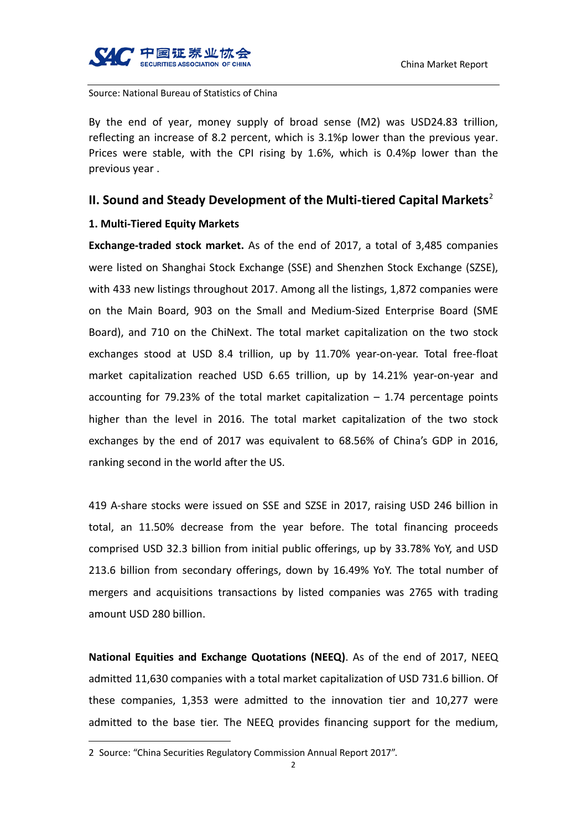

Source: National Bureau of Statistics of China

By the end of year, money supply of broad sense (M2) was USD24.83 trillion, reflecting an increase of 8.2 percent, which is 3.1%p lower than the previous year. Prices were stable, with the CPI rising by 1.6%, which is 0.4%p lower than the previous year .

## **II. Sound and Steady Development of the Multi-tiered Capital Markets**[2](#page-1-0)

#### **1. Multi-Tiered Equity Markets**

**Exchange-traded stock market.** As of the end of 2017, a total of 3,485 companies were listed on Shanghai Stock Exchange (SSE) and Shenzhen Stock Exchange (SZSE), with 433 new listings throughout 2017. Among all the listings, 1,872 companies were on the Main Board, 903 on the Small and Medium-Sized Enterprise Board (SME Board), and 710 on the ChiNext. The total market capitalization on the two stock exchanges stood at USD 8.4 trillion, up by 11.70% year-on-year. Total free-float market capitalization reached USD 6.65 trillion, up by 14.21% year-on-year and accounting for 79.23% of the total market capitalization  $-1.74$  percentage points higher than the level in 2016. The total market capitalization of the two stock exchanges by the end of 2017 was equivalent to 68.56% of China's GDP in 2016, ranking second in the world after the US.

419 A-share stocks were issued on SSE and SZSE in 2017, raising USD 246 billion in total, an 11.50% decrease from the year before. The total financing proceeds comprised USD 32.3 billion from initial public offerings, up by 33.78% YoY, and USD 213.6 billion from secondary offerings, down by 16.49% YoY. The total number of mergers and acquisitions transactions by listed companies was 2765 with trading amount USD 280 billion.

**National Equities and Exchange Quotations (NEEQ)**. As of the end of 2017, NEEQ admitted 11,630 companies with a total market capitalization of USD 731.6 billion. Of these companies, 1,353 were admitted to the innovation tier and 10,277 were admitted to the base tier. The NEEQ provides financing support for the medium,

-

<span id="page-1-0"></span><sup>2</sup> Source: "China Securities Regulatory Commission Annual Report 2017".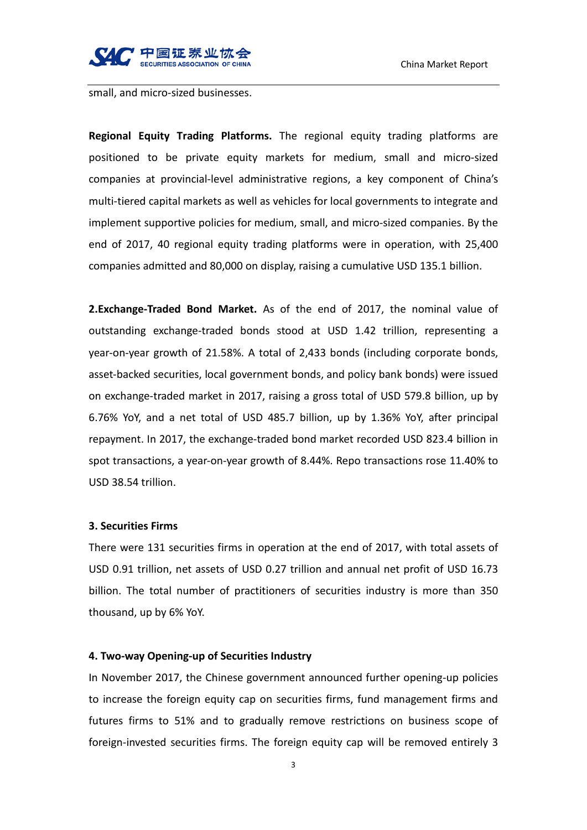

small, and micro-sized businesses.

**Regional Equity Trading Platforms.** The regional equity trading platforms are positioned to be private equity markets for medium, small and micro-sized companies at provincial-level administrative regions, a key component of China's multi-tiered capital markets as well as vehicles for local governments to integrate and implement supportive policies for medium, small, and micro-sized companies. By the end of 2017, 40 regional equity trading platforms were in operation, with 25,400 companies admitted and 80,000 on display, raising a cumulative USD 135.1 billion.

**2.Exchange-Traded Bond Market.** As of the end of 2017, the nominal value of outstanding exchange-traded bonds stood at USD 1.42 trillion, representing a year-on-year growth of 21.58%. A total of 2,433 bonds (including corporate bonds, asset-backed securities, local government bonds, and policy bank bonds) were issued on exchange-traded market in 2017, raising a gross total of USD 579.8 billion, up by 6.76% YoY, and a net total of USD 485.7 billion, up by 1.36% YoY, after principal repayment. In 2017, the exchange-traded bond market recorded USD 823.4 billion in spot transactions, a year-on-year growth of 8.44%. Repo transactions rose 11.40% to USD 38.54 trillion.

#### **3. Securities Firms**

There were 131 securities firms in operation at the end of 2017, with total assets of USD 0.91 trillion, net assets of USD 0.27 trillion and annual net profit of USD 16.73 billion. The total number of practitioners of securities industry is more than 350 thousand, up by 6% YoY.

#### **4. Two-way Opening-up of Securities Industry**

In November 2017, the Chinese government announced further opening-up policies to increase the foreign equity cap on securities firms, fund management firms and futures firms to 51% and to gradually remove restrictions on business scope of foreign-invested securities firms. The foreign equity cap will be removed entirely 3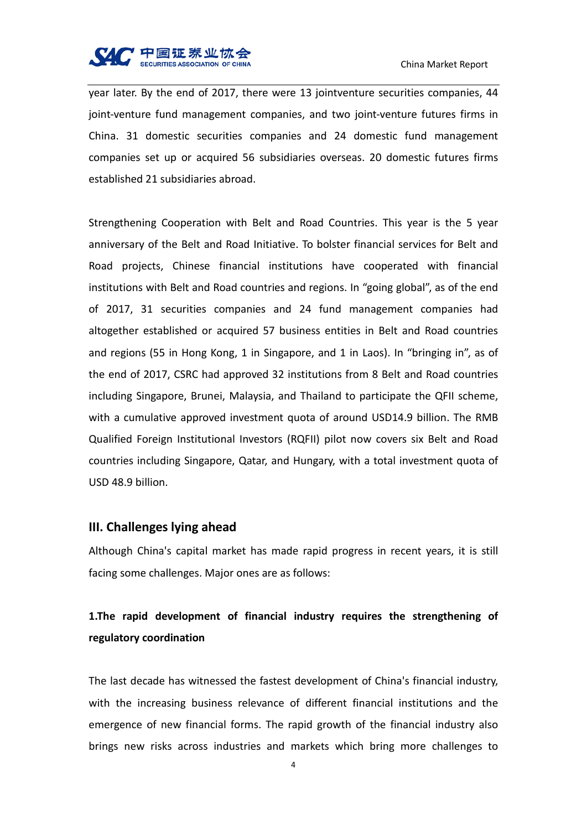

year later. By the end of 2017, there were 13 jointventure securities companies, 44 joint-venture fund management companies, and two joint-venture futures firms in China. 31 domestic securities companies and 24 domestic fund management companies set up or acquired 56 subsidiaries overseas. 20 domestic futures firms established 21 subsidiaries abroad.

Strengthening Cooperation with Belt and Road Countries. This year is the 5 year anniversary of the Belt and Road Initiative. To bolster financial services for Belt and Road projects, Chinese financial institutions have cooperated with financial institutions with Belt and Road countries and regions. In "going global", as of the end of 2017, 31 securities companies and 24 fund management companies had altogether established or acquired 57 business entities in Belt and Road countries and regions (55 in Hong Kong, 1 in Singapore, and 1 in Laos). In "bringing in", as of the end of 2017, CSRC had approved 32 institutions from 8 Belt and Road countries including Singapore, Brunei, Malaysia, and Thailand to participate the QFII scheme, with a cumulative approved investment quota of around USD14.9 billion. The RMB Qualified Foreign Institutional Investors (RQFII) pilot now covers six Belt and Road countries including Singapore, Qatar, and Hungary, with a total investment quota of USD 48.9 billion.

#### **III. Challenges lying ahead**

Although China's capital market has made rapid progress in recent years, it is still facing some challenges. Major ones are as follows:

## **1.The rapid development of financial industry requires the strengthening of regulatory coordination**

The last decade has witnessed the fastest development of China's financial industry, with the increasing business relevance of different financial institutions and the emergence of new financial forms. The rapid growth of the financial industry also brings new risks across industries and markets which bring more challenges to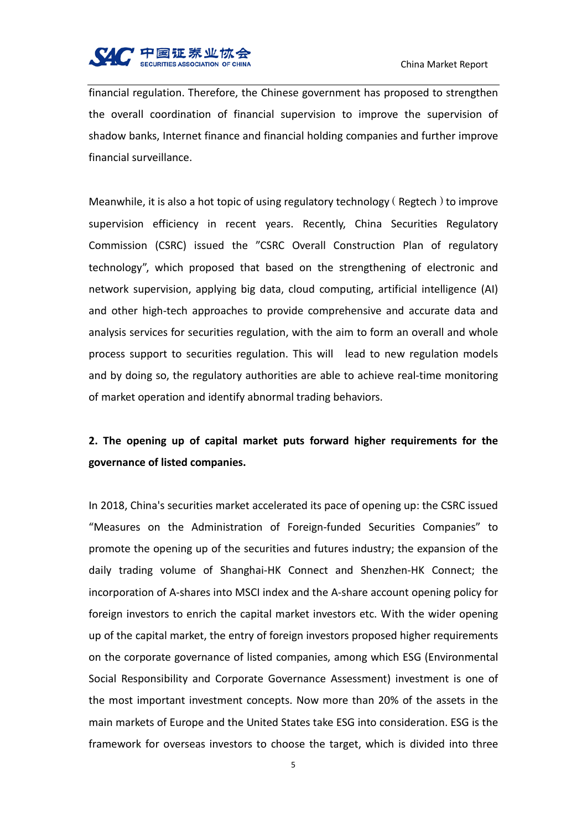

financial regulation. Therefore, the Chinese government has proposed to strengthen the overall coordination of financial supervision to improve the supervision of shadow banks, Internet finance and financial holding companies and further improve financial surveillance.

Meanwhile, it is also a hot topic of using regulatory technology (Regtech) to improve supervision efficiency in recent years. Recently, China Securities Regulatory Commission (CSRC) issued the "CSRC Overall Construction Plan of regulatory technology", which proposed that based on the strengthening of electronic and network supervision, applying big data, cloud computing, artificial intelligence (AI) and other high-tech approaches to provide comprehensive and accurate data and analysis services for securities regulation, with the aim to form an overall and whole process support to securities regulation. This will lead to new regulation models and by doing so, the regulatory authorities are able to achieve real-time monitoring of market operation and identify abnormal trading behaviors.

# **2. The opening up of capital market puts forward higher requirements for the governance of listed companies.**

In 2018, China's securities market accelerated its pace of opening up: the CSRC issued "Measures on the Administration of Foreign-funded Securities Companies" to promote the opening up of the securities and futures industry; the expansion of the daily trading volume of Shanghai-HK Connect and Shenzhen-HK Connect; the incorporation of A-shares into MSCI index and the A-share account opening policy for foreign investors to enrich the capital market investors etc. With the wider opening up of the capital market, the entry of foreign investors proposed higher requirements on the corporate governance of listed companies, among which ESG (Environmental Social Responsibility and Corporate Governance Assessment) investment is one of the most important investment concepts. Now more than 20% of the assets in the main markets of Europe and the United States take ESG into consideration. ESG is the framework for overseas investors to choose the target, which is divided into three